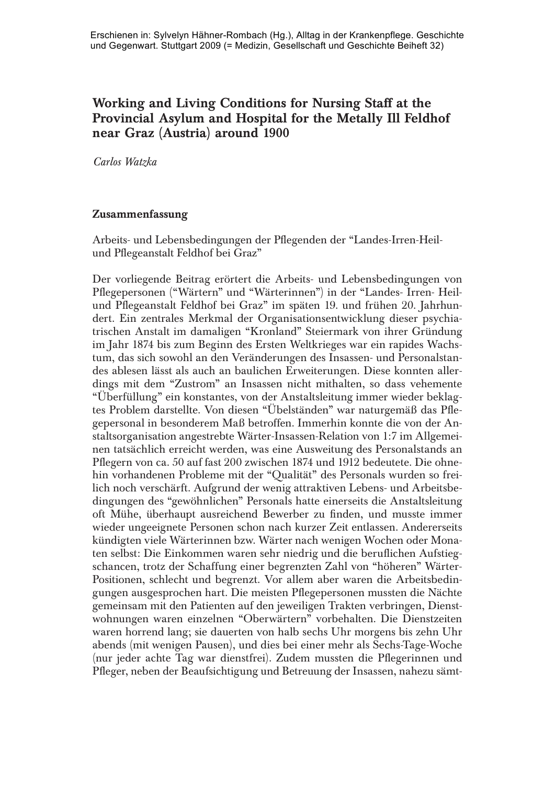# Working and Living Conditions for Nursing Staff at the Provincial Asylum and Hospital for the Metally Ill Feldhof near Graz (Austria) around 1900

*Carlos Watzka*

## Zusammenfassung

Arbeits- und Lebensbedingungen der Pflegenden der "Landes-Irren-Heilund Pflegeanstalt Feldhof bei Graz"

Der vorliegende Beitrag erörtert die Arbeits- und Lebensbedingungen von Pflegepersonen ("Wärtern" und "Wärterinnen") in der "Landes- Irren- Heilund Pflegeanstalt Feldhof bei Graz" im späten 19. und frühen 20. Jahrhundert. Ein zentrales Merkmal der Organisationsentwicklung dieser psychiatrischen Anstalt im damaligen "Kronland" Steiermark von ihrer Gründung im Jahr 1874 bis zum Beginn des Ersten Weltkrieges war ein rapides Wachstum, das sich sowohl an den Veränderungen des Insassen- und Personalstandes ablesen lässt als auch an baulichen Erweiterungen. Diese konnten allerdings mit dem "Zustrom" an Insassen nicht mithalten, so dass vehemente "Überfüllung" ein konstantes, von der Anstaltsleitung immer wieder beklagtes Problem darstellte. Von diesen "Übelständen" war naturgemäß das Pflegepersonal in besonderem Maß betroffen. Immerhin konnte die von der Anstaltsorganisation angestrebte Wärter-Insassen-Relation von 1:7 im Allgemeinen tatsächlich erreicht werden, was eine Ausweitung des Personalstands an Pflegern von ca. 50 auf fast 200 zwischen 1874 und 1912 bedeutete. Die ohnehin vorhandenen Probleme mit der "Qualität" des Personals wurden so freilich noch verschärft. Aufgrund der wenig attraktiven Lebens- und Arbeitsbedingungen des "gewöhnlichen" Personals hatte einerseits die Anstaltsleitung oft Mühe, überhaupt ausreichend Bewerber zu finden, und musste immer wieder ungeeignete Personen schon nach kurzer Zeit entlassen. Andererseits kündigten viele Wärterinnen bzw. Wärter nach wenigen Wochen oder Monaten selbst: Die Einkommen waren sehr niedrig und die beruflichen Aufstiegschancen, trotz der Schaffung einer begrenzten Zahl von "höheren" Wärter-Positionen, schlecht und begrenzt. Vor allem aber waren die Arbeitsbedingungen ausgesprochen hart. Die meisten Pflegepersonen mussten die Nächte gemeinsam mit den Patienten auf den jeweiligen Trakten verbringen, Dienstwohnungen waren einzelnen "Oberwärtern" vorbehalten. Die Dienstzeiten waren horrend lang; sie dauerten von halb sechs Uhr morgens bis zehn Uhr abends (mit wenigen Pausen), und dies bei einer mehr als Sechs-Tage-Woche (nur jeder achte Tag war dienstfrei). Zudem mussten die Pflegerinnen und Pfleger, neben der Beaufsichtigung und Betreuung der Insassen, nahezu sämt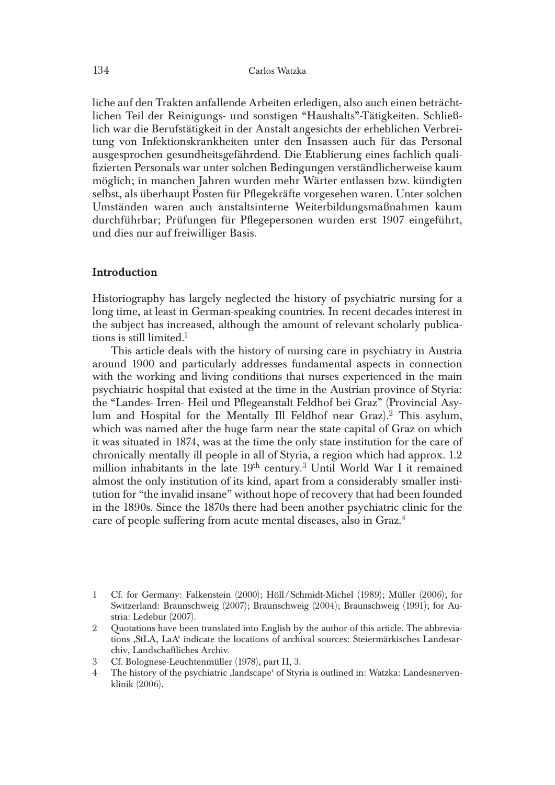liche auf den Trakten anfallende Arbeiten erledigen, also auch einen beträchtlichen Teil der Reinigungs- und sonstigen "Haushalts"-Tätigkeiten. Schließlich war die Berufstätigkeit in der Anstalt angesichts der erheblichen Verbreitung von Infektionskrankheiten unter den Insassen auch für das Personal ausgesprochen gesundheitsgefährdend. Die Etablierung eines fachlich qualifizierten Personals war unter solchen Bedingungen verständlicherweise kaum möglich; in manchen Jahren wurden mehr Wärter entlassen bzw. kündigten selbst, als überhaupt Posten für Pflegekräfte vorgesehen waren. Unter solchen Umständen waren auch anstaltsinterne Weiterbildungsmaßnahmen kaum durchführbar; Prüfungen für Pflegepersonen wurden erst 1907 eingeführt, und dies nur auf freiwilliger Basis.

#### Introduction

Historiography has largely neglected the history of psychiatric nursing for a long time, at least in German-speaking countries. In recent decades interest in the subject has increased, although the amount of relevant scholarly publications is still limited.<sup>1</sup>

This article deals with the history of nursing care in psychiatry in Austria around 1900 and particularly addresses fundamental aspects in connection with the working and living conditions that nurses experienced in the main psychiatric hospital that existed at the time in the Austrian province of Styria: the "Landes- Irren- Heil und Pflegeanstalt Feldhof bei Graz" (Provincial Asylum and Hospital for the Mentally Ill Feldhof near Graz).<sup>2</sup> This asylum, which was named after the huge farm near the state capital of Graz on which it was situated in 1874, was at the time the only state institution for the care of chronically mentally ill people in all of Styria, a region which had approx. 1.2 million inhabitants in the late 19th century.3 Until World War I it remained almost the only institution of its kind, apart from a considerably smaller institution for "the invalid insane" without hope of recovery that had been founded in the 1890s. Since the 1870s there had been another psychiatric clinic for the care of people suffering from acute mental diseases, also in Graz.4

3 Cf. Bolognese-Leuchtenmüller (1978), part II, 3.

<sup>1</sup> Cf. for Germany: Falkenstein (2000); Höll /Schmidt-Michel (1989); Müller (2006); for Switzerland: Braunschweig (2007); Braunschweig (2004); Braunschweig (1991); for Austria: Ledebur (2007).

<sup>2</sup> Quotations have been translated into English by the author of this article. The abbreviations ,StLA, LaA' indicate the locations of archival sources: Steiermärkisches Landesarchiv, Landschaftliches Archiv.

<sup>4</sup> The history of the psychiatric ,landscape' of Styria is outlined in: Watzka: Landesnervenklinik (2006).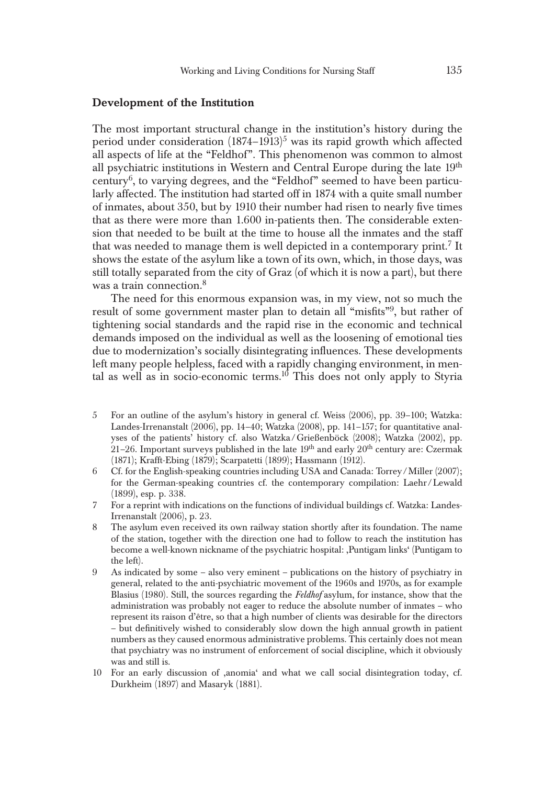#### Development of the Institution

The most important structural change in the institution's history during the period under consideration  $(1874-1913)^5$  was its rapid growth which affected all aspects of life at the "Feldhof". This phenomenon was common to almost all psychiatric institutions in Western and Central Europe during the late  $19<sup>th</sup>$ century<sup>6</sup>, to varying degrees, and the "Feldhof" seemed to have been particularly affected. The institution had started off in 1874 with a quite small number of inmates, about 350, but by 1910 their number had risen to nearly five times that as there were more than 1.600 in-patients then. The considerable extension that needed to be built at the time to house all the inmates and the staff that was needed to manage them is well depicted in a contemporary print.<sup>7</sup> It shows the estate of the asylum like a town of its own, which, in those days, was still totally separated from the city of Graz (of which it is now a part), but there was a train connection.<sup>8</sup>

The need for this enormous expansion was, in my view, not so much the result of some government master plan to detain all "misfits"<sup>9</sup>, but rather of tightening social standards and the rapid rise in the economic and technical demands imposed on the individual as well as the loosening of emotional ties due to modernization's socially disintegrating influences. These developments left many people helpless, faced with a rapidly changing environment, in mental as well as in socio-economic terms.<sup>10</sup> This does not only apply to Styria

- 5 For an outline of the asylum's history in general cf. Weiss (2006), pp. 39–100; Watzka: Landes-Irrenanstalt (2006), pp. 14–40; Watzka (2008), pp. 141–157; for quantitative analyses of the patients' history cf. also Watzka /Grießenböck (2008); Watzka (2002), pp.  $21-26$ . Important surveys published in the late  $19<sup>th</sup>$  and early  $20<sup>th</sup>$  century are: Czermak (1871); Krafft-Ebing (1879); Scarpatetti (1899); Hassmann (1912).
- 6 Cf. for the English-speaking countries including USA and Canada: Torrey/Miller (2007); for the German-speaking countries cf. the contemporary compilation: Laehr /Lewald (1899), esp. p. 338.
- 7 For a reprint with indications on the functions of individual buildings cf. Watzka: Landes-Irrenanstalt (2006), p. 23.
- 8 The asylum even received its own railway station shortly after its foundation. The name of the station, together with the direction one had to follow to reach the institution has become a well-known nickname of the psychiatric hospital: ,Puntigam links' (Puntigam to the left).
- 9 As indicated by some also very eminent publications on the history of psychiatry in general, related to the anti-psychiatric movement of the 1960s and 1970s, as for example Blasius (1980). Still, the sources regarding the *Feldhof* asylum, for instance, show that the administration was probably not eager to reduce the absolute number of inmates – who represent its raison d'être, so that a high number of clients was desirable for the directors – but definitively wished to considerably slow down the high annual growth in patient numbers as they caused enormous administrative problems. This certainly does not mean that psychiatry was no instrument of enforcement of social discipline, which it obviously was and still is.
- 10 For an early discussion of ,anomia' and what we call social disintegration today, cf. Durkheim (1897) and Masaryk (1881).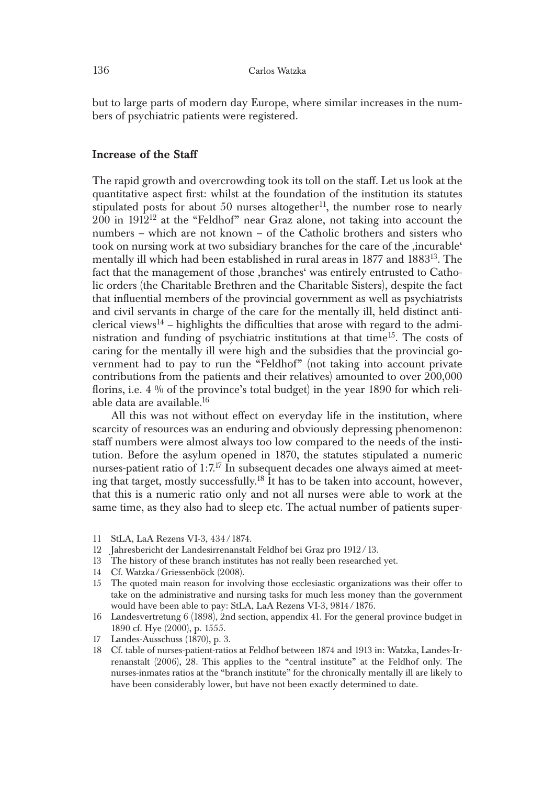but to large parts of modern day Europe, where similar increases in the numbers of psychiatric patients were registered.

#### Increase of the Staff

The rapid growth and overcrowding took its toll on the staff. Let us look at the quantitative aspect first: whilst at the foundation of the institution its statutes stipulated posts for about 50 nurses altogether<sup>11</sup>, the number rose to nearly  $200$  in  $1912^{12}$  at the "Feldhof" near Graz alone, not taking into account the numbers – which are not known – of the Catholic brothers and sisters who took on nursing work at two subsidiary branches for the care of the ,incurable' mentally ill which had been established in rural areas in 1877 and 188313. The fact that the management of those ,branches' was entirely entrusted to Catholic orders (the Charitable Brethren and the Charitable Sisters), despite the fact that influential members of the provincial government as well as psychiatrists and civil servants in charge of the care for the mentally ill, held distinct anticlerical views<sup>14</sup> – highlights the difficulties that arose with regard to the administration and funding of psychiatric institutions at that time<sup>15</sup>. The costs of caring for the mentally ill were high and the subsidies that the provincial government had to pay to run the "Feldhof" (not taking into account private contributions from the patients and their relatives) amounted to over 200,000 florins, i.e. 4 % of the province's total budget) in the year 1890 for which reliable data are available.16

All this was not without effect on everyday life in the institution, where scarcity of resources was an enduring and obviously depressing phenomenon: staff numbers were almost always too low compared to the needs of the institution. Before the asylum opened in 1870, the statutes stipulated a numeric nurses-patient ratio of 1:7.<sup>17</sup> In subsequent decades one always aimed at meeting that target, mostly successfully.18 It has to be taken into account, however, that this is a numeric ratio only and not all nurses were able to work at the same time, as they also had to sleep etc. The actual number of patients super-

- 11 StLA, LaA Rezens VI-3, 434/1874.
- 12 Jahresbericht der Landesirrenanstalt Feldhof bei Graz pro 1912/13.
- 13 The history of these branch institutes has not really been researched yet.
- 14 Cf. Watzka /Griessenböck (2008).
- 15 The quoted main reason for involving those ecclesiastic organizations was their offer to take on the administrative and nursing tasks for much less money than the government would have been able to pay: StLA, LaA Rezens VI-3, 9814/1876.
- 16 Landesvertretung 6 (1898), 2nd section, appendix 41. For the general province budget in 1890 cf. Hye (2000), p. 1555.
- 17 Landes-Ausschuss (1870), p. 3.
- 18 Cf. table of nurses-patient-ratios at Feldhof between 1874 and 1913 in: Watzka, Landes-Irrenanstalt (2006), 28. This applies to the "central institute" at the Feldhof only. The nurses-inmates ratios at the "branch institute" for the chronically mentally ill are likely to have been considerably lower, but have not been exactly determined to date.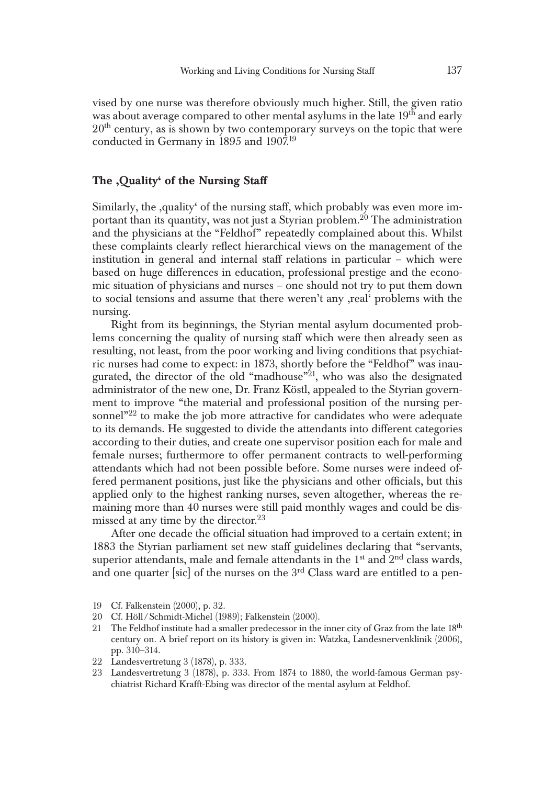vised by one nurse was therefore obviously much higher. Still, the given ratio was about average compared to other mental asylums in the late  $19<sup>th</sup>$  and early  $20<sup>th</sup>$  century, as is shown by two contemporary surveys on the topic that were conducted in Germany in 1895 and 1907.19

## The ,Quality' of the Nursing Staff

Similarly, the ,quality' of the nursing staff, which probably was even more important than its quantity, was not just a Styrian problem.<sup>20</sup> The administration and the physicians at the "Feldhof" repeatedly complained about this. Whilst these complaints clearly reflect hierarchical views on the management of the institution in general and internal staff relations in particular – which were based on huge differences in education, professional prestige and the economic situation of physicians and nurses – one should not try to put them down to social tensions and assume that there weren't any ,real' problems with the nursing.

Right from its beginnings, the Styrian mental asylum documented problems concerning the quality of nursing staff which were then already seen as resulting, not least, from the poor working and living conditions that psychiatric nurses had come to expect: in 1873, shortly before the "Feldhof" was inaugurated, the director of the old "madhouse"<sup>21</sup>, who was also the designated administrator of the new one, Dr. Franz Köstl, appealed to the Styrian government to improve "the material and professional position of the nursing personnel $^{\prime\prime\prime\prime\prime}$  to make the job more attractive for candidates who were adequate to its demands. He suggested to divide the attendants into different categories according to their duties, and create one supervisor position each for male and female nurses; furthermore to offer permanent contracts to well-performing attendants which had not been possible before. Some nurses were indeed offered permanent positions, just like the physicians and other officials, but this applied only to the highest ranking nurses, seven altogether, whereas the remaining more than 40 nurses were still paid monthly wages and could be dismissed at any time by the director. $^{23}$ 

After one decade the official situation had improved to a certain extent; in 1883 the Styrian parliament set new staff guidelines declaring that "servants, superior attendants, male and female attendants in the  $1<sup>st</sup>$  and  $2<sup>nd</sup>$  class wards, and one quarter [sic] of the nurses on the 3<sup>rd</sup> Class ward are entitled to a pen-

- 20 Cf. Höll / Schmidt-Michel (1989); Falkenstein (2000).
- 21 The Feldhof institute had a smaller predecessor in the inner city of Graz from the late  $18<sup>th</sup>$ century on. A brief report on its history is given in: Watzka, Landesnervenklinik (2006), pp. 310–314.
- 22 Landesvertretung 3 (1878), p. 333.
- 23 Landesvertretung 3 (1878), p. 333. From 1874 to 1880, the world-famous German psychiatrist Richard Krafft-Ebing was director of the mental asylum at Feldhof.

<sup>19</sup> Cf. Falkenstein (2000), p. 32.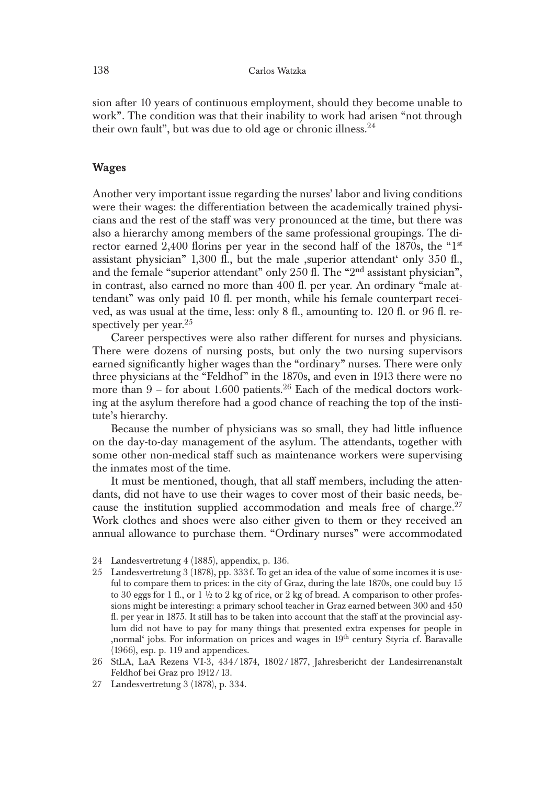sion after 10 years of continuous employment, should they become unable to work"*.* The condition was that their inability to work had arisen "not through their own fault", but was due to old age or chronic illness. $24$ 

## Wages

Another very important issue regarding the nurses' labor and living conditions were their wages: the differentiation between the academically trained physicians and the rest of the staff was very pronounced at the time, but there was also a hierarchy among members of the same professional groupings. The director earned 2,400 florins per year in the second half of the 1870s, the "1<sup>st</sup> assistant physician" 1,300 fl., but the male ,superior attendant' only 350 fl., and the female "superior attendant" only 250 fl. The "2nd assistant physician", in contrast, also earned no more than 400 fl. per year. An ordinary "male attendant" was only paid 10 fl. per month, while his female counterpart received, as was usual at the time, less: only 8 fl., amounting to. 120 fl. or 96 fl. respectively per year. $^{25}$ 

Career perspectives were also rather different for nurses and physicians. There were dozens of nursing posts, but only the two nursing supervisors earned significantly higher wages than the "ordinary" nurses. There were only three physicians at the "Feldhof" in the 1870s, and even in 1913 there were no more than  $9$  – for about 1.600 patients.<sup>26</sup> Each of the medical doctors working at the asylum therefore had a good chance of reaching the top of the institute's hierarchy.

Because the number of physicians was so small, they had little influence on the day-to-day management of the asylum. The attendants, together with some other non-medical staff such as maintenance workers were supervising the inmates most of the time.

It must be mentioned, though, that all staff members, including the attendants, did not have to use their wages to cover most of their basic needs, because the institution supplied accommodation and meals free of charge. $27$ Work clothes and shoes were also either given to them or they received an annual allowance to purchase them. "Ordinary nurses" were accommodated

- 24 Landesvertretung 4 (1885), appendix, p. 136.
- 25 Landesvertretung 3 (1878), pp. 333f. To get an idea of the value of some incomes it is useful to compare them to prices: in the city of Graz, during the late 1870s, one could buy 15 to 30 eggs for 1 fl., or 1  $\frac{1}{2}$  to 2 kg of rice, or 2 kg of bread. A comparison to other professions might be interesting: a primary school teacher in Graz earned between 300 and 450 fl. per year in 1875. It still has to be taken into account that the staff at the provincial asylum did not have to pay for many things that presented extra expenses for people in ,normal' jobs. For information on prices and wages in  $19<sup>th</sup>$  century Styria cf. Baravalle (1966), esp. p. 119 and appendices.
- 26 StLA, LaA Rezens VI-3, 434/1874, 1802/1877, Jahresbericht der Landesirrenanstalt Feldhof bei Graz pro 1912/13.
- 27 Landesvertretung 3 (1878), p. 334.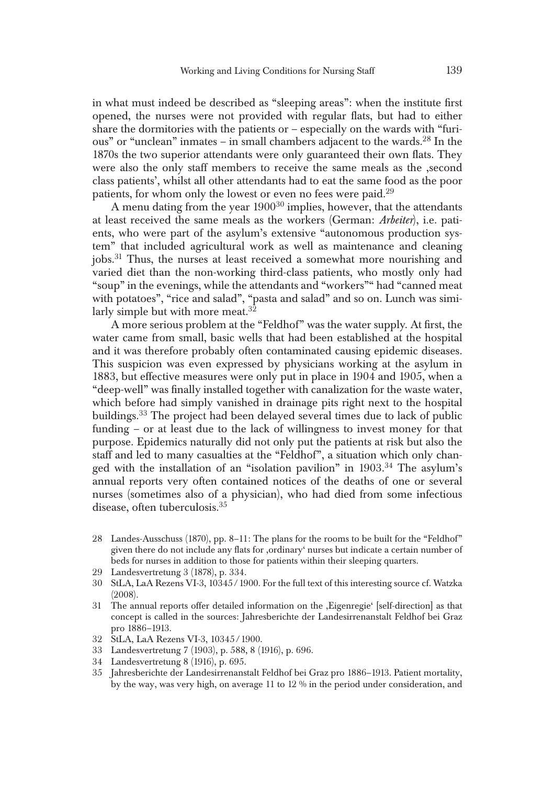in what must indeed be described as "sleeping areas": when the institute first opened, the nurses were not provided with regular flats, but had to either share the dormitories with the patients or  $-$  especially on the wards with "furious" or "unclean" inmates – in small chambers adjacent to the wards.<sup>28</sup> In the 1870s the two superior attendants were only guaranteed their own flats. They were also the only staff members to receive the same meals as the ,second class patients', whilst all other attendants had to eat the same food as the poor patients, for whom only the lowest or even no fees were paid.<sup>29</sup>

A menu dating from the year  $1900^{30}$  implies, however, that the attendants at least received the same meals as the workers (German: *Arbeiter*), i.e. patients, who were part of the asylum's extensive "autonomous production system" that included agricultural work as well as maintenance and cleaning jobs.31 Thus, the nurses at least received a somewhat more nourishing and varied diet than the non-working third-class patients, who mostly only had "soup" in the evenings, while the attendants and "workers"" had "canned meat with potatoes", "rice and salad", "pasta and salad" and so on. Lunch was similarly simple but with more meat.  $32$ 

A more serious problem at the "Feldhof" was the water supply. At first, the water came from small, basic wells that had been established at the hospital and it was therefore probably often contaminated causing epidemic diseases. This suspicion was even expressed by physicians working at the asylum in 1883, but effective measures were only put in place in 1904 and 1905, when a "deep-well" was finally installed together with canalization for the waste water, which before had simply vanished in drainage pits right next to the hospital buildings.<sup>33</sup> The project had been delayed several times due to lack of public funding – or at least due to the lack of willingness to invest money for that purpose. Epidemics naturally did not only put the patients at risk but also the staff and led to many casualties at the "Feldhof", a situation which only changed with the installation of an "isolation pavilion" in 1903.<sup>34</sup> The asylum's annual reports very often contained notices of the deaths of one or several nurses (sometimes also of a physician), who had died from some infectious disease, often tuberculosis.<sup>35</sup>

- 28 Landes-Ausschuss (1870), pp. 8–11: The plans for the rooms to be built for the "Feldhof" given there do not include any flats for ,ordinary' nurses but indicate a certain number of beds for nurses in addition to those for patients within their sleeping quarters.
- 29 Landesvertretung 3 (1878), p. 334.
- 30 StLA, LaA Rezens VI-3, 10345/1900. For the full text of this interesting source cf. Watzka (2008).
- 31 The annual reports offer detailed information on the ,Eigenregie' [self-direction] as that concept is called in the sources: Jahresberichte der Landesirrenanstalt Feldhof bei Graz pro 1886–1913.
- 32 StLA, LaA Rezens VI-3, 10345/1900.
- 33 Landesvertretung 7 (1903), p. 588, 8 (1916), p. 696.
- 34 Landesvertretung 8 (1916), p. 695.
- 35 Jahresberichte der Landesirrenanstalt Feldhof bei Graz pro 1886–1913. Patient mortality, by the way, was very high, on average 11 to 12 % in the period under consideration, and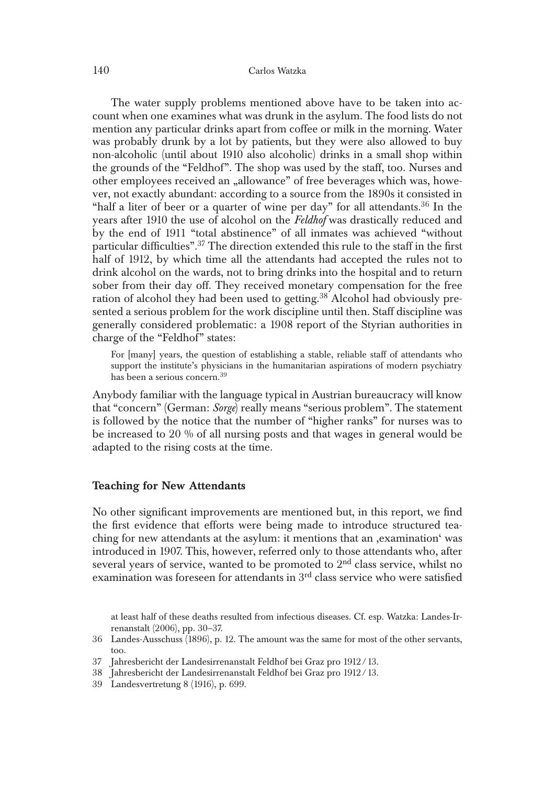#### 140 Carlos Watzka

The water supply problems mentioned above have to be taken into account when one examines what was drunk in the asylum. The food lists do not mention any particular drinks apart from coffee or milk in the morning. Water was probably drunk by a lot by patients, but they were also allowed to buy non-alcoholic (until about 1910 also alcoholic) drinks in a small shop within the grounds of the "Feldhof". The shop was used by the staff, too. Nurses and other employees received an "allowance" of free beverages which was, however, not exactly abundant: according to a source from the 1890s it consisted in "half a liter of beer or a quarter of wine per day" for all attendants.<sup>36</sup> In the years after 1910 the use of alcohol on the *Feldhof* was drastically reduced and by the end of 1911 "total abstinence" of all inmates was achieved "without particular difficulties".37 The direction extended this rule to the staff in the first half of 1912, by which time all the attendants had accepted the rules not to drink alcohol on the wards, not to bring drinks into the hospital and to return sober from their day off. They received monetary compensation for the free ration of alcohol they had been used to getting.<sup>38</sup> Alcohol had obviously presented a serious problem for the work discipline until then. Staff discipline was generally considered problematic: a 1908 report of the Styrian authorities in charge of the "Feldhof" states:

For [many] years, the question of establishing a stable, reliable staff of attendants who support the institute's physicians in the humanitarian aspirations of modern psychiatry has been a serious concern.39

Anybody familiar with the language typical in Austrian bureaucracy will know that "concern" (German: *Sorge*) really means "serious problem". The statement is followed by the notice that the number of "higher ranks" for nurses was to be increased to 20 % of all nursing posts and that wages in general would be adapted to the rising costs at the time.

## Teaching for New Attendants

No other significant improvements are mentioned but, in this report, we find the first evidence that efforts were being made to introduce structured teaching for new attendants at the asylum: it mentions that an ,examination' was introduced in 1907. This, however, referred only to those attendants who, after several years of service, wanted to be promoted to  $2<sup>nd</sup>$  class service, whilst no examination was foreseen for attendants in 3rd class service who were satisfied

at least half of these deaths resulted from infectious diseases. Cf. esp. Watzka: Landes-Irrenanstalt (2006), pp. 30–37.

<sup>36</sup> Landes-Ausschuss (1896), p. 12. The amount was the same for most of the other servants, too.

<sup>37</sup> Jahresbericht der Landesirrenanstalt Feldhof bei Graz pro 1912/13.

<sup>38</sup> Jahresbericht der Landesirrenanstalt Feldhof bei Graz pro 1912/13.

<sup>39</sup> Landesvertretung 8 (1916), p. 699.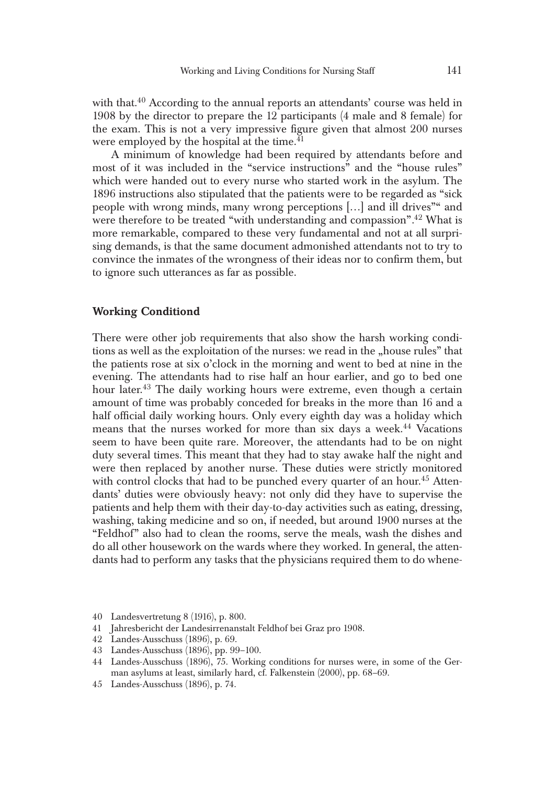with that.<sup>40</sup> According to the annual reports an attendants' course was held in 1908 by the director to prepare the 12 participants (4 male and 8 female) for the exam. This is not a very impressive figure given that almost 200 nurses were employed by the hospital at the time.<sup>41</sup>

A minimum of knowledge had been required by attendants before and most of it was included in the "service instructions" and the "house rules" which were handed out to every nurse who started work in the asylum. The 1896 instructions also stipulated that the patients were to be regarded as "sick people with wrong minds, many wrong perceptions […] and ill drives"" and were therefore to be treated "with understanding and compassion"*.* 42 What is more remarkable, compared to these very fundamental and not at all surprising demands, is that the same document admonished attendants not to try to convince the inmates of the wrongness of their ideas nor to confirm them, but to ignore such utterances as far as possible.

#### Working Conditiond

There were other job requirements that also show the harsh working conditions as well as the exploitation of the nurses: we read in the "house rules" that the patients rose at six o'clock in the morning and went to bed at nine in the evening. The attendants had to rise half an hour earlier, and go to bed one hour later.<sup>43</sup> The daily working hours were extreme, even though a certain amount of time was probably conceded for breaks in the more than 16 and a half official daily working hours. Only every eighth day was a holiday which means that the nurses worked for more than six days a week.<sup>44</sup> Vacations seem to have been quite rare. Moreover, the attendants had to be on night duty several times. This meant that they had to stay awake half the night and were then replaced by another nurse. These duties were strictly monitored with control clocks that had to be punched every quarter of an hour.<sup>45</sup> Attendants' duties were obviously heavy: not only did they have to supervise the patients and help them with their day-to-day activities such as eating, dressing, washing, taking medicine and so on, if needed, but around 1900 nurses at the "Feldhof" also had to clean the rooms, serve the meals, wash the dishes and do all other housework on the wards where they worked. In general, the attendants had to perform any tasks that the physicians required them to do whene-

<sup>40</sup> Landesvertretung 8 (1916), p. 800.

<sup>41</sup> Jahresbericht der Landesirrenanstalt Feldhof bei Graz pro 1908.

<sup>42</sup> Landes-Ausschuss (1896), p. 69.

<sup>43</sup> Landes-Ausschuss (1896), pp. 99–100.

<sup>44</sup> Landes-Ausschuss (1896), 75. Working conditions for nurses were, in some of the German asylums at least, similarly hard, cf. Falkenstein (2000), pp. 68–69.

<sup>45</sup> Landes-Ausschuss (1896), p. 74.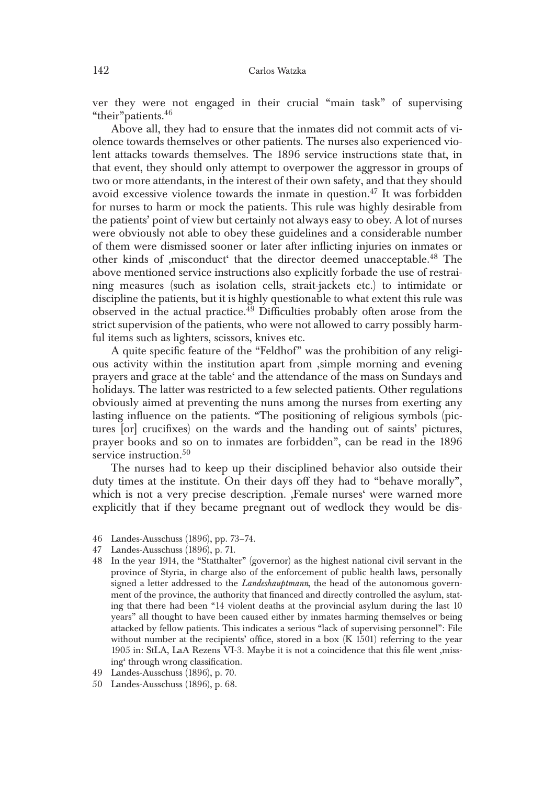ver they were not engaged in their crucial "main task" of supervising "their"patients.46

Above all, they had to ensure that the inmates did not commit acts of violence towards themselves or other patients. The nurses also experienced violent attacks towards themselves. The 1896 service instructions state that, in that event, they should only attempt to overpower the aggressor in groups of two or more attendants, in the interest of their own safety, and that they should avoid excessive violence towards the inmate in question. $47$  It was forbidden for nurses to harm or mock the patients. This rule was highly desirable from the patients' point of view but certainly not always easy to obey. A lot of nurses were obviously not able to obey these guidelines and a considerable number of them were dismissed sooner or later after inflicting injuries on inmates or other kinds of ,misconduct' that the director deemed unacceptable.48 The above mentioned service instructions also explicitly forbade the use of restraining measures (such as isolation cells, strait-jackets etc.) to intimidate or discipline the patients, but it is highly questionable to what extent this rule was observed in the actual practice.<sup>49</sup> Difficulties probably often arose from the strict supervision of the patients, who were not allowed to carry possibly harmful items such as lighters, scissors, knives etc.

A quite specific feature of the "Feldhof" was the prohibition of any religious activity within the institution apart from ,simple morning and evening prayers and grace at the table' and the attendance of the mass on Sundays and holidays. The latter was restricted to a few selected patients. Other regulations obviously aimed at preventing the nuns among the nurses from exerting any lasting influence on the patients. "The positioning of religious symbols (pictures [or] crucifixes) on the wards and the handing out of saints' pictures, prayer books and so on to inmates are forbidden", can be read in the 1896 service instruction.<sup>50</sup>

The nurses had to keep up their disciplined behavior also outside their duty times at the institute. On their days off they had to "behave morally", which is not a very precise description. ,Female nurses' were warned more explicitly that if they became pregnant out of wedlock they would be dis-

- 46 Landes-Ausschuss (1896), pp. 73–74.
- 47 Landes-Ausschuss (1896), p. 71.
- 48 In the year 1914, the "Statthalter" (governor) as the highest national civil servant in the province of Styria, in charge also of the enforcement of public health laws, personally signed a letter addressed to the *Landeshauptmann*, the head of the autonomous government of the province, the authority that financed and directly controlled the asylum, stating that there had been "14 violent deaths at the provincial asylum during the last 10 years" all thought to have been caused either by inmates harming themselves or being attacked by fellow patients. This indicates a serious "lack of supervising personnel": File without number at the recipients' office, stored in a box  $(K 1501)$  referring to the year 1905 in: StLA, LaA Rezens VI-3. Maybe it is not a coincidence that this file went ,missing' through wrong classification.
- 49 Landes-Ausschuss (1896), p. 70.
- 50 Landes-Ausschuss (1896), p. 68.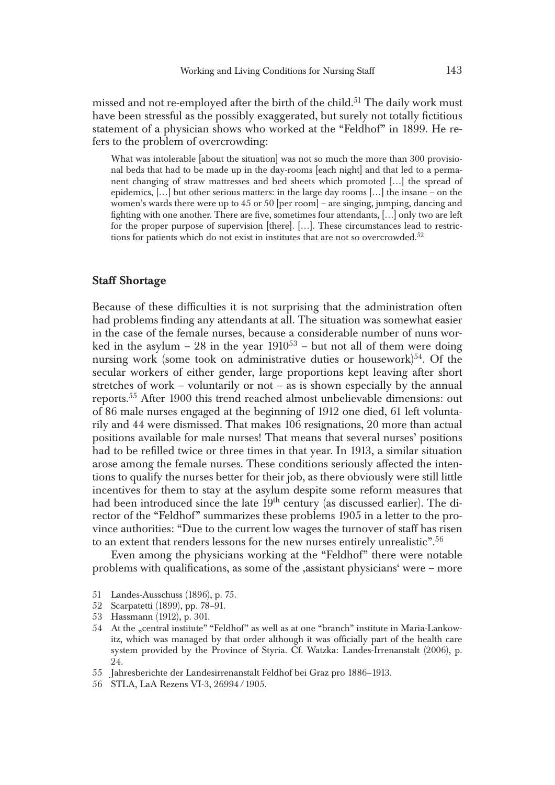missed and not re-employed after the birth of the child.<sup>51</sup> The daily work must have been stressful as the possibly exaggerated, but surely not totally fictitious statement of a physician shows who worked at the "Feldhof" in 1899. He refers to the problem of overcrowding:

What was intolerable [about the situation] was not so much the more than 300 provisional beds that had to be made up in the day-rooms [each night] and that led to a permanent changing of straw mattresses and bed sheets which promoted […] the spread of epidemics,  $\left| \ldots \right|$  but other serious matters: in the large day rooms  $\left| \ldots \right|$  the insane – on the women's wards there were up to 45 or 50 [per room] – are singing, jumping, dancing and fighting with one another. There are five, sometimes four attendants, […] only two are left for the proper purpose of supervision [there]. […]. These circumstances lead to restrictions for patients which do not exist in institutes that are not so overcrowded. $52$ 

## Staff Shortage

Because of these difficulties it is not surprising that the administration often had problems finding any attendants at all. The situation was somewhat easier in the case of the female nurses, because a considerable number of nuns worked in the asylum – 28 in the year  $1910^{53}$  – but not all of them were doing nursing work (some took on administrative duties or housework) $54$ . Of the secular workers of either gender, large proportions kept leaving after short stretches of work – voluntarily or not – as is shown especially by the annual reports.55 After 1900 this trend reached almost unbelievable dimensions: out of 86 male nurses engaged at the beginning of 1912 one died, 61 left voluntarily and 44 were dismissed. That makes 106 resignations, 20 more than actual positions available for male nurses! That means that several nurses' positions had to be refilled twice or three times in that year. In 1913, a similar situation arose among the female nurses. These conditions seriously affected the intentions to qualify the nurses better for their job, as there obviously were still little incentives for them to stay at the asylum despite some reform measures that had been introduced since the late 19<sup>th</sup> century (as discussed earlier). The director of the "Feldhof" summarizes these problems 1905 in a letter to the province authorities: "Due to the current low wages the turnover of staff has risen to an extent that renders lessons for the new nurses entirely unrealistic".<sup>56</sup>

Even among the physicians working at the "Feldhof" there were notable problems with qualifications, as some of the ,assistant physicians' were – more

- 51 Landes-Ausschuss (1896), p. 75.
- 52 Scarpatetti (1899), pp. 78–91.
- 53 Hassmann (1912), p. 301.
- 54 At the "central institute" "Feldhof" as well as at one "branch" institute in Maria-Lankowitz, which was managed by that order although it was officially part of the health care system provided by the Province of Styria. Cf. Watzka: Landes-Irrenanstalt (2006), p. 24.
- 55 Jahresberichte der Landesirrenanstalt Feldhof bei Graz pro 1886–1913.
- 56 STLA, LaA Rezens VI-3, 26994/1905.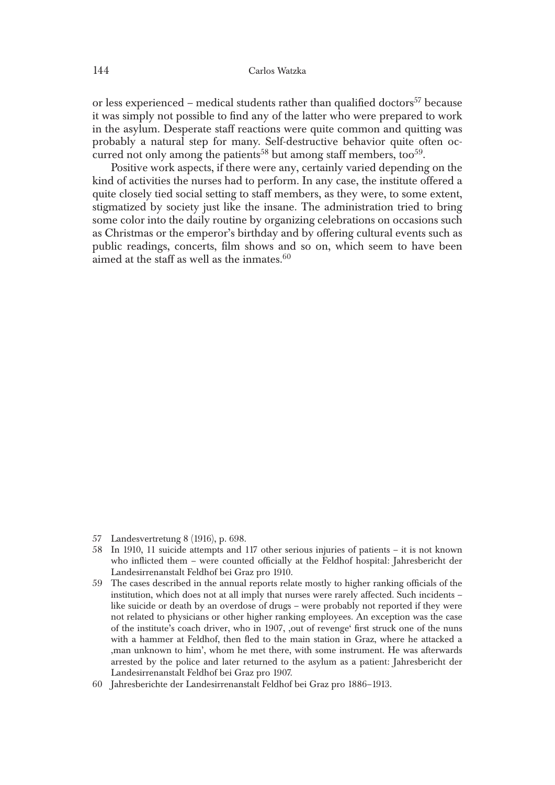or less experienced – medical students rather than qualified doctors<sup>57</sup> because it was simply not possible to find any of the latter who were prepared to work in the asylum. Desperate staff reactions were quite common and quitting was probably a natural step for many. Self-destructive behavior quite often occurred not only among the patients<sup>58</sup> but among staff members, too<sup>59</sup>.

Positive work aspects, if there were any, certainly varied depending on the kind of activities the nurses had to perform. In any case, the institute offered a quite closely tied social setting to staff members, as they were, to some extent, stigmatized by society just like the insane. The administration tried to bring some color into the daily routine by organizing celebrations on occasions such as Christmas or the emperor's birthday and by offering cultural events such as public readings, concerts, film shows and so on, which seem to have been aimed at the staff as well as the inmates. $60$ 

- 57 Landesvertretung 8 (1916), p. 698.
- 58 In 1910, 11 suicide attempts and 117 other serious injuries of patients it is not known who inflicted them – were counted officially at the Feldhof hospital: Jahresbericht der Landesirrenanstalt Feldhof bei Graz pro 1910.
- 59 The cases described in the annual reports relate mostly to higher ranking officials of the institution, which does not at all imply that nurses were rarely affected. Such incidents – like suicide or death by an overdose of drugs – were probably not reported if they were not related to physicians or other higher ranking employees. An exception was the case of the institute's coach driver, who in 1907, ,out of revenge' first struck one of the nuns with a hammer at Feldhof, then fled to the main station in Graz, where he attacked a ,man unknown to him', whom he met there, with some instrument. He was afterwards arrested by the police and later returned to the asylum as a patient: Jahresbericht der Landesirrenanstalt Feldhof bei Graz pro 1907.
- 60 Jahresberichte der Landesirrenanstalt Feldhof bei Graz pro 1886–1913.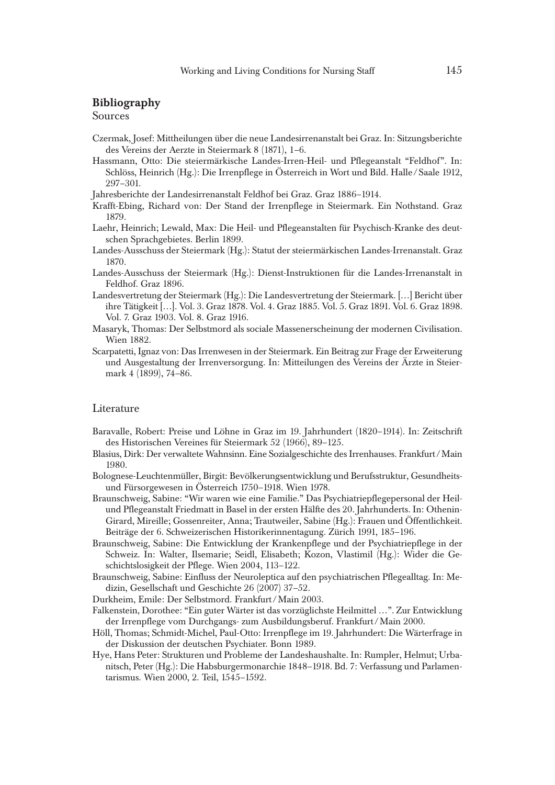## Bibliography

#### Sources

- Czermak, Josef: Mittheilungen über die neue Landesirrenanstalt bei Graz. In: Sitzungsberichte des Vereins der Aerzte in Steiermark 8 (1871), 1–6.
- Hassmann, Otto: Die steiermärkische Landes-Irren-Heil- und Pflegeanstalt "Feldhof". In: Schlöss, Heinrich (Hg.): Die Irrenpflege in Österreich in Wort und Bild. Halle /Saale 1912, 297–301.
- Jahresberichte der Landesirrenanstalt Feldhof bei Graz. Graz 1886–1914.
- Krafft-Ebing, Richard von: Der Stand der Irrenpflege in Steiermark. Ein Nothstand. Graz 1879.
- Laehr, Heinrich; Lewald, Max: Die Heil- und Pflegeanstalten für Psychisch-Kranke des deutschen Sprachgebietes. Berlin 1899.
- Landes-Ausschuss der Steiermark (Hg.): Statut der steiermärkischen Landes-Irrenanstalt. Graz 1870.
- Landes-Ausschuss der Steiermark (Hg.): Dienst-Instruktionen für die Landes-Irrenanstalt in Feldhof. Graz 1896.
- Landesvertretung der Steiermark (Hg.): Die Landesvertretung der Steiermark. […] Bericht über ihre Tätigkeit […]. Vol. 3. Graz 1878. Vol. 4. Graz 1885. Vol. 5. Graz 1891. Vol. 6. Graz 1898. Vol. 7. Graz 1903. Vol. 8. Graz 1916.
- Masaryk, Thomas: Der Selbstmord als sociale Massenerscheinung der modernen Civilisation. Wien 1882.
- Scarpatetti, Ignaz von: Das Irrenwesen in der Steiermark. Ein Beitrag zur Frage der Erweiterung und Ausgestaltung der Irrenversorgung. In: Mitteilungen des Vereins der Ärzte in Steiermark 4 (1899), 74–86.

#### **Literature**

- Baravalle, Robert: Preise und Löhne in Graz im 19. Jahrhundert (1820–1914). In: Zeitschrift des Historischen Vereines für Steiermark 52 (1966), 89–125.
- Blasius, Dirk: Der verwaltete Wahnsinn. Eine Sozialgeschichte des Irrenhauses. Frankfurt /Main 1980.
- Bolognese-Leuchtenmüller, Birgit: Bevölkerungsentwicklung und Berufsstruktur, Gesundheitsund Fürsorgewesen in Österreich 1750–1918. Wien 1978.
- Braunschweig, Sabine: "Wir waren wie eine Familie." Das Psychiatriepflegepersonal der Heilund Pflegeanstalt Friedmatt in Basel in der ersten Hälfte des 20. Jahrhunderts. In: Othenin-Girard, Mireille; Gossenreiter, Anna; Trautweiler, Sabine (Hg.): Frauen und Öffentlichkeit. Beiträge der 6. Schweizerischen Historikerinnentagung. Zürich 1991, 185–196.
- Braunschweig, Sabine: Die Entwicklung der Krankenpflege und der Psychiatriepflege in der Schweiz. In: Walter, Ilsemarie; Seidl, Elisabeth; Kozon, Vlastimil (Hg.): Wider die Geschichtslosigkeit der Pflege. Wien 2004, 113–122.
- Braunschweig, Sabine: Einfluss der Neuroleptica auf den psychiatrischen Pflegealltag. In: Medizin, Gesellschaft und Geschichte 26 (2007) 37–52.
- Durkheim, Emile: Der Selbstmord. Frankfurt /Main 2003.
- Falkenstein, Dorothee: "Ein guter Wärter ist das vorzüglichste Heilmittel …". Zur Entwicklung der Irrenpflege vom Durchgangs- zum Ausbildungsberuf. Frankfurt /Main 2000.
- Höll, Thomas; Schmidt-Michel, Paul-Otto: Irrenpflege im 19. Jahrhundert: Die Wärterfrage in der Diskussion der deutschen Psychiater. Bonn 1989.
- Hye, Hans Peter: Strukturen und Probleme der Landeshaushalte. In: Rumpler, Helmut; Urbanitsch, Peter (Hg.): Die Habsburgermonarchie 1848–1918. Bd. 7: Verfassung und Parlamentarismus. Wien 2000, 2. Teil, 1545–1592.